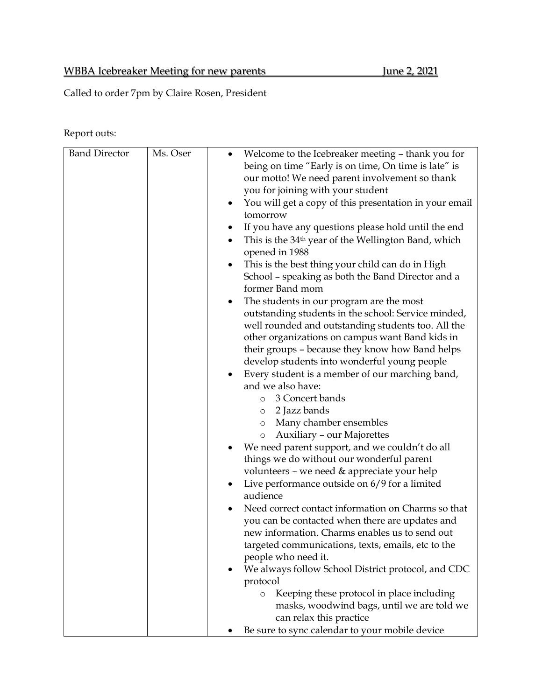## WBBA Icebreaker Meeting for new parents June 2, 2021

Called to order 7pm by Claire Rosen, President

Report outs:

| <b>Band Director</b> | Ms. Oser | Welcome to the Icebreaker meeting - thank you for<br>being on time "Early is on time, On time is late" is<br>our motto! We need parent involvement so thank<br>you for joining with your student<br>You will get a copy of this presentation in your email<br>tomorrow<br>If you have any questions please hold until the end<br>This is the 34 <sup>th</sup> year of the Wellington Band, which<br>opened in 1988<br>This is the best thing your child can do in High<br>٠<br>School - speaking as both the Band Director and a<br>former Band mom<br>The students in our program are the most<br>٠<br>outstanding students in the school: Service minded,<br>well rounded and outstanding students too. All the<br>other organizations on campus want Band kids in<br>their groups - because they know how Band helps<br>develop students into wonderful young people<br>Every student is a member of our marching band,<br>and we also have:<br>3 Concert bands<br>$\circ$<br>2 Jazz bands<br>$\circ$<br>Many chamber ensembles<br>$\circ$<br>Auxiliary - our Majorettes<br>$\circ$<br>We need parent support, and we couldn't do all<br>things we do without our wonderful parent<br>volunteers - we need & appreciate your help<br>Live performance outside on 6/9 for a limited<br>audience<br>Need correct contact information on Charms so that<br>you can be contacted when there are updates and<br>new information. Charms enables us to send out<br>targeted communications, texts, emails, etc to the<br>people who need it.<br>We always follow School District protocol, and CDC<br>protocol<br>Keeping these protocol in place including<br>$\circ$<br>masks, woodwind bags, until we are told we |
|----------------------|----------|-------------------------------------------------------------------------------------------------------------------------------------------------------------------------------------------------------------------------------------------------------------------------------------------------------------------------------------------------------------------------------------------------------------------------------------------------------------------------------------------------------------------------------------------------------------------------------------------------------------------------------------------------------------------------------------------------------------------------------------------------------------------------------------------------------------------------------------------------------------------------------------------------------------------------------------------------------------------------------------------------------------------------------------------------------------------------------------------------------------------------------------------------------------------------------------------------------------------------------------------------------------------------------------------------------------------------------------------------------------------------------------------------------------------------------------------------------------------------------------------------------------------------------------------------------------------------------------------------------------------------------------------------------------------------------------------------------------------|
|                      |          | can relax this practice                                                                                                                                                                                                                                                                                                                                                                                                                                                                                                                                                                                                                                                                                                                                                                                                                                                                                                                                                                                                                                                                                                                                                                                                                                                                                                                                                                                                                                                                                                                                                                                                                                                                                           |
|                      |          | Be sure to sync calendar to your mobile device                                                                                                                                                                                                                                                                                                                                                                                                                                                                                                                                                                                                                                                                                                                                                                                                                                                                                                                                                                                                                                                                                                                                                                                                                                                                                                                                                                                                                                                                                                                                                                                                                                                                    |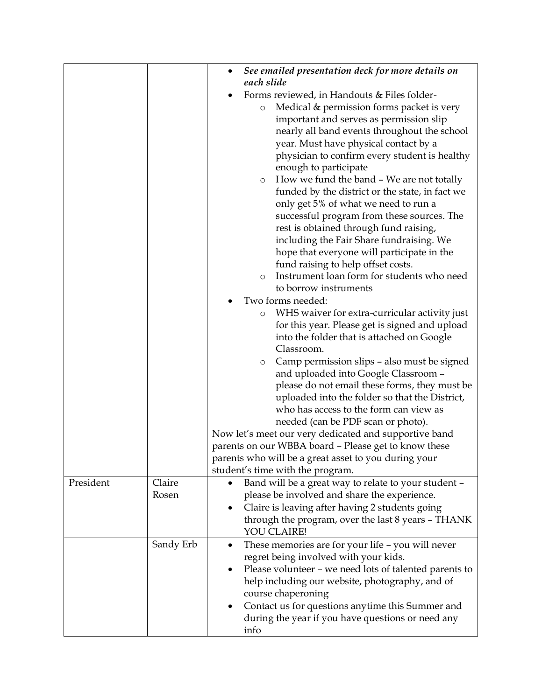|           |           | See emailed presentation deck for more details on        |
|-----------|-----------|----------------------------------------------------------|
|           |           | each slide                                               |
|           |           | Forms reviewed, in Handouts & Files folder-              |
|           |           | Medical & permission forms packet is very<br>$\circ$     |
|           |           | important and serves as permission slip                  |
|           |           | nearly all band events throughout the school             |
|           |           | year. Must have physical contact by a                    |
|           |           | physician to confirm every student is healthy            |
|           |           | enough to participate                                    |
|           |           | How we fund the band - We are not totally<br>$\circ$     |
|           |           | funded by the district or the state, in fact we          |
|           |           | only get 5% of what we need to run a                     |
|           |           | successful program from these sources. The               |
|           |           | rest is obtained through fund raising,                   |
|           |           | including the Fair Share fundraising. We                 |
|           |           | hope that everyone will participate in the               |
|           |           | fund raising to help offset costs.                       |
|           |           | Instrument loan form for students who need<br>$\circ$    |
|           |           | to borrow instruments                                    |
|           |           | Two forms needed:                                        |
|           |           | WHS waiver for extra-curricular activity just<br>$\circ$ |
|           |           | for this year. Please get is signed and upload           |
|           |           | into the folder that is attached on Google               |
|           |           | Classroom.                                               |
|           |           | Camp permission slips – also must be signed<br>$\circ$   |
|           |           | and uploaded into Google Classroom -                     |
|           |           | please do not email these forms, they must be            |
|           |           | uploaded into the folder so that the District,           |
|           |           | who has access to the form can view as                   |
|           |           | needed (can be PDF scan or photo).                       |
|           |           | Now let's meet our very dedicated and supportive band    |
|           |           | parents on our WBBA board - Please get to know these     |
|           |           | parents who will be a great asset to you during your     |
|           |           | student's time with the program.                         |
| President | Claire    | Band will be a great way to relate to your student -     |
|           | Rosen     | please be involved and share the experience.             |
|           |           | Claire is leaving after having 2 students going          |
|           |           | through the program, over the last 8 years - THANK       |
|           |           | YOU CLAIRE!                                              |
|           | Sandy Erb | These memories are for your life - you will never<br>٠   |
|           |           | regret being involved with your kids.                    |
|           |           | Please volunteer - we need lots of talented parents to   |
|           |           | help including our website, photography, and of          |
|           |           | course chaperoning                                       |
|           |           | Contact us for questions anytime this Summer and         |
|           |           | during the year if you have questions or need any        |
|           |           | info                                                     |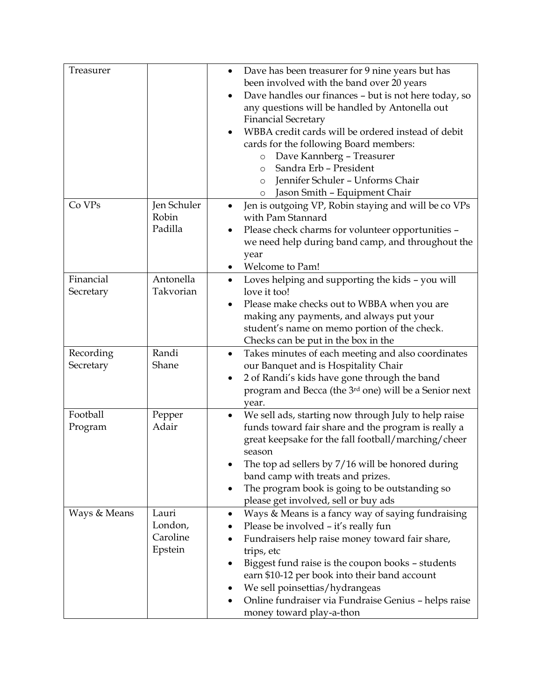| Treasurer              |                                         | Dave has been treasurer for 9 nine years but has<br>$\bullet$<br>been involved with the band over 20 years<br>Dave handles our finances - but is not here today, so<br>any questions will be handled by Antonella out<br><b>Financial Secretary</b><br>WBBA credit cards will be ordered instead of debit<br>cards for the following Board members:<br>Dave Kannberg - Treasurer<br>$\circ$<br>Sandra Erb - President<br>$\circ$ |
|------------------------|-----------------------------------------|----------------------------------------------------------------------------------------------------------------------------------------------------------------------------------------------------------------------------------------------------------------------------------------------------------------------------------------------------------------------------------------------------------------------------------|
|                        |                                         | Jennifer Schuler - Unforms Chair<br>$\circ$<br>Jason Smith - Equipment Chair<br>$\circ$                                                                                                                                                                                                                                                                                                                                          |
| Co VPs                 | Jen Schuler<br>Robin<br>Padilla         | Jen is outgoing VP, Robin staying and will be co VPs<br>with Pam Stannard<br>Please check charms for volunteer opportunities -<br>we need help during band camp, and throughout the<br>year<br>Welcome to Pam!                                                                                                                                                                                                                   |
| Financial<br>Secretary | Antonella<br>Takvorian                  | Loves helping and supporting the kids - you will<br>love it too!<br>Please make checks out to WBBA when you are<br>making any payments, and always put your<br>student's name on memo portion of the check.<br>Checks can be put in the box in the                                                                                                                                                                               |
| Recording<br>Secretary | Randi<br>Shane                          | Takes minutes of each meeting and also coordinates<br>$\bullet$<br>our Banquet and is Hospitality Chair<br>2 of Randi's kids have gone through the band<br>$\bullet$<br>program and Becca (the 3rd one) will be a Senior next<br>year.                                                                                                                                                                                           |
| Football<br>Program    | Pepper<br>Adair                         | We sell ads, starting now through July to help raise<br>$\bullet$<br>funds toward fair share and the program is really a<br>great keepsake for the fall football/marching/cheer<br>season<br>The top ad sellers by $7/16$ will be honored during<br>band camp with treats and prizes.<br>The program book is going to be outstanding so<br>please get involved, sell or buy ads                                                  |
| Ways & Means           | Lauri<br>London,<br>Caroline<br>Epstein | Ways & Means is a fancy way of saying fundraising<br>Please be involved - it's really fun<br>Fundraisers help raise money toward fair share,<br>trips, etc<br>Biggest fund raise is the coupon books - students<br>earn \$10-12 per book into their band account<br>We sell poinsettias/hydrangeas<br>Online fundraiser via Fundraise Genius - helps raise<br>money toward play-a-thon                                           |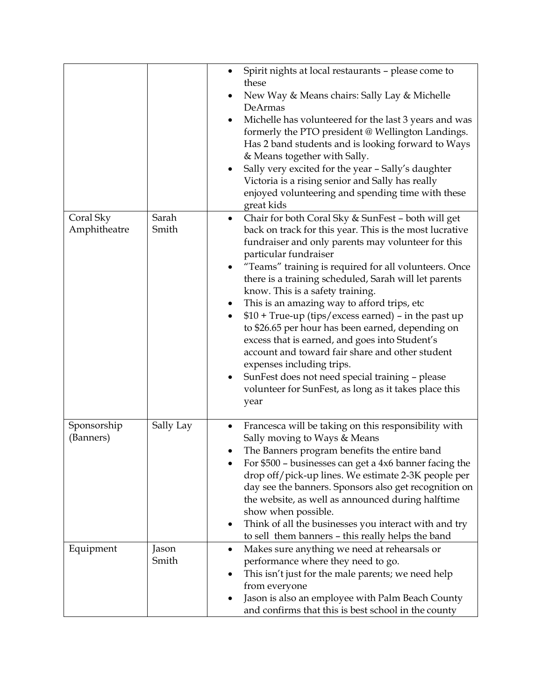|                           |                | Spirit nights at local restaurants - please come to<br>٠<br>these<br>New Way & Means chairs: Sally Lay & Michelle<br>DeArmas<br>Michelle has volunteered for the last 3 years and was<br>$\bullet$<br>formerly the PTO president @ Wellington Landings.<br>Has 2 band students and is looking forward to Ways<br>& Means together with Sally.<br>Sally very excited for the year - Sally's daughter<br>Victoria is a rising senior and Sally has really                                                                                                                                                                                                                                                                                                                                             |
|---------------------------|----------------|-----------------------------------------------------------------------------------------------------------------------------------------------------------------------------------------------------------------------------------------------------------------------------------------------------------------------------------------------------------------------------------------------------------------------------------------------------------------------------------------------------------------------------------------------------------------------------------------------------------------------------------------------------------------------------------------------------------------------------------------------------------------------------------------------------|
|                           |                | enjoyed volunteering and spending time with these<br>great kids                                                                                                                                                                                                                                                                                                                                                                                                                                                                                                                                                                                                                                                                                                                                     |
| Coral Sky<br>Amphitheatre | Sarah<br>Smith | Chair for both Coral Sky & SunFest - both will get<br>$\bullet$<br>back on track for this year. This is the most lucrative<br>fundraiser and only parents may volunteer for this<br>particular fundraiser<br>"Teams" training is required for all volunteers. Once<br>there is a training scheduled, Sarah will let parents<br>know. This is a safety training.<br>This is an amazing way to afford trips, etc<br>\$10 + True-up (tips/excess earned) - in the past up<br>$\bullet$<br>to \$26.65 per hour has been earned, depending on<br>excess that is earned, and goes into Student's<br>account and toward fair share and other student<br>expenses including trips.<br>SunFest does not need special training - please<br>٠<br>volunteer for SunFest, as long as it takes place this<br>year |
| Sponsorship<br>(Banners)  | Sally Lay      | Francesca will be taking on this responsibility with<br>٠<br>Sally moving to Ways & Means<br>The Banners program benefits the entire band<br>For \$500 - businesses can get a 4x6 banner facing the<br>drop off/pick-up lines. We estimate 2-3K people per<br>day see the banners. Sponsors also get recognition on<br>the website, as well as announced during halftime<br>show when possible.<br>Think of all the businesses you interact with and try<br>to sell them banners - this really helps the band                                                                                                                                                                                                                                                                                       |
| Equipment                 | Jason<br>Smith | Makes sure anything we need at rehearsals or<br>٠<br>performance where they need to go.<br>This isn't just for the male parents; we need help<br>from everyone<br>Jason is also an employee with Palm Beach County<br>and confirms that this is best school in the county                                                                                                                                                                                                                                                                                                                                                                                                                                                                                                                           |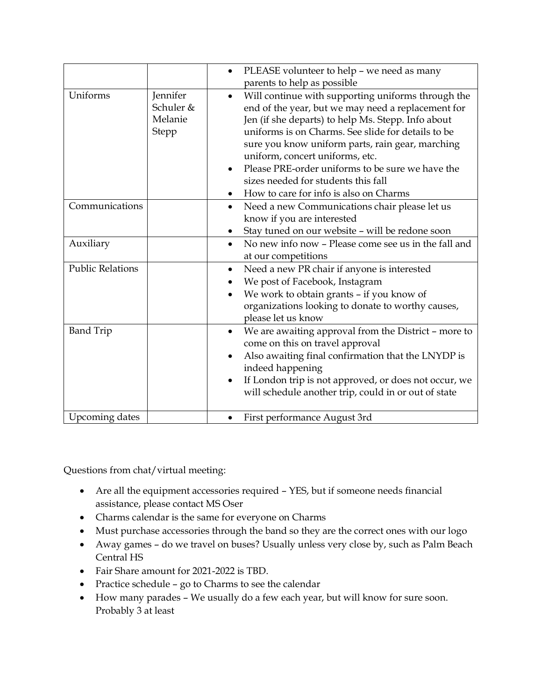|                         |                                                  | PLEASE volunteer to help - we need as many<br>$\bullet$<br>parents to help as possible                                                                                                                                                                                                                                                                                                                                                           |
|-------------------------|--------------------------------------------------|--------------------------------------------------------------------------------------------------------------------------------------------------------------------------------------------------------------------------------------------------------------------------------------------------------------------------------------------------------------------------------------------------------------------------------------------------|
| Uniforms                | Jennifer<br>Schuler &<br>Melanie<br><b>Stepp</b> | Will continue with supporting uniforms through the<br>end of the year, but we may need a replacement for<br>Jen (if she departs) to help Ms. Stepp. Info about<br>uniforms is on Charms. See slide for details to be<br>sure you know uniform parts, rain gear, marching<br>uniform, concert uniforms, etc.<br>Please PRE-order uniforms to be sure we have the<br>sizes needed for students this fall<br>How to care for info is also on Charms |
| Communications          |                                                  | Need a new Communications chair please let us<br>$\bullet$<br>know if you are interested<br>Stay tuned on our website - will be redone soon                                                                                                                                                                                                                                                                                                      |
| Auxiliary               |                                                  | No new info now - Please come see us in the fall and<br>$\bullet$<br>at our competitions                                                                                                                                                                                                                                                                                                                                                         |
| <b>Public Relations</b> |                                                  | Need a new PR chair if anyone is interested<br>$\bullet$<br>We post of Facebook, Instagram<br>We work to obtain grants - if you know of<br>organizations looking to donate to worthy causes,<br>please let us know                                                                                                                                                                                                                               |
| <b>Band Trip</b>        |                                                  | We are awaiting approval from the District - more to<br>$\bullet$<br>come on this on travel approval<br>Also awaiting final confirmation that the LNYDP is<br>indeed happening<br>If London trip is not approved, or does not occur, we<br>will schedule another trip, could in or out of state                                                                                                                                                  |
| Upcoming dates          |                                                  | First performance August 3rd<br>$\bullet$                                                                                                                                                                                                                                                                                                                                                                                                        |

Questions from chat/virtual meeting:

- Are all the equipment accessories required YES, but if someone needs financial assistance, please contact MS Oser
- Charms calendar is the same for everyone on Charms
- Must purchase accessories through the band so they are the correct ones with our logo
- Away games do we travel on buses? Usually unless very close by, such as Palm Beach Central HS
- Fair Share amount for 2021-2022 is TBD.
- Practice schedule go to Charms to see the calendar
- How many parades We usually do a few each year, but will know for sure soon. Probably 3 at least